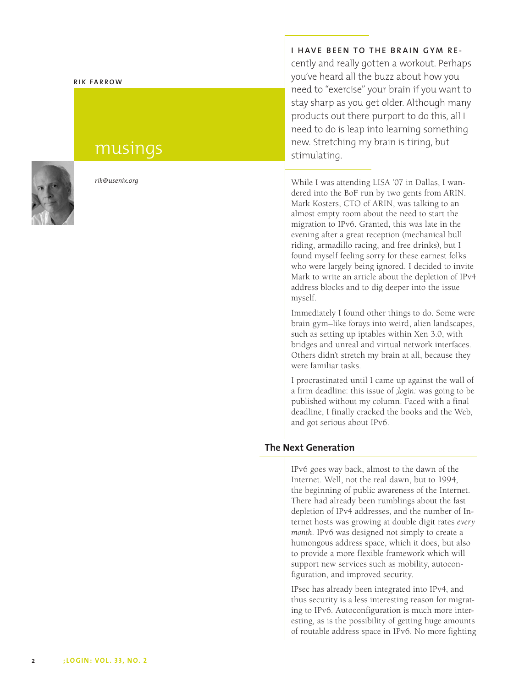#### **R I K F A R R O W**

# musings



*rik@usenix.org* 

#### **I HAVE BEEN TO THE BRAIN GYM RE-**

cently and really gotten a workout. Perhaps you've heard all the buzz about how you need to "exercise" your brain if you want to stay sharp as you get older. Although many products out there purport to do this, all I need to do is leap into learning something new. Stretching my brain is tiring, but stimulating.

While I was attending LISA '07 in Dallas, I wan dered into the BoF run by two gents from ARIN. Mark Kosters, CTO of ARIN, was talking to an almost empty room about the need to start the migration to IPv6. Granted, this was late in the evening after a great reception (mechanical bull riding, armadillo racing, and free drinks), but I found myself feeling sorry for these earnest folks who were largely being ignored. I decided to invite Mark to write an article about the depletion of IPv4 address blocks and to dig deeper into the issue myself.

Immediately I found other things to do. Some were brain gym–like forays into weird, alien landscapes, such as setting up iptables within Xen 3.0, with bridges and unreal and virtual network interfaces. Others didn't stretch my brain at all, because they were familiar tasks.

I procrastinated until I came up against the wall of a firm deadline: this issue of *;login:* was going to be published without my column. Faced with a final deadline, I finally cracked the books and the Web, and got serious about IPv6.

## **The Next Generation**

IPv6 goes way back, almost to the dawn of the Internet. Well, not the real dawn, but to 1994, the beginning of public awareness of the Internet. There had already been rumblings about the fast depletion of IPv4 addresses, and the number of In ternet hosts was growing at double digit rates *every month.* IPv6 was designed not simply to create a humongous address space, which it does, but also to provide a more flexible framework which will support new services such as mobility, autocon figuration, and improved security.

IPsec has already been integrated into IPv4, and thus security is a less interesting reason for migrat ing to IPv6. Autoconfiguration is much more interesting, as is the possibility of getting huge amounts of routable address space in IPv6. No more fighting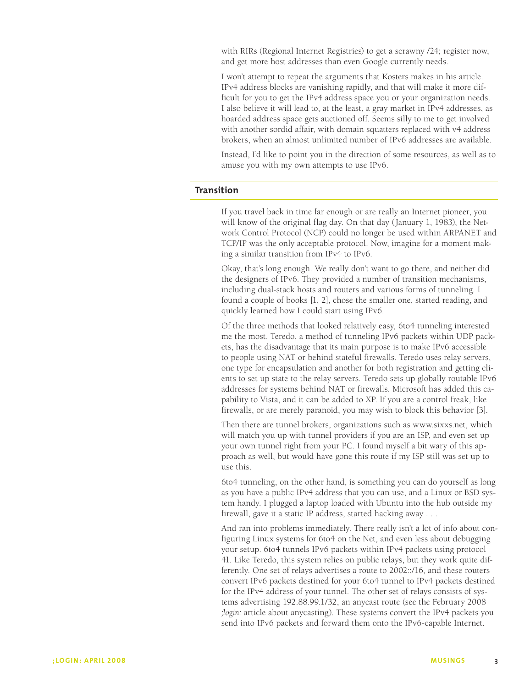with RIRs (Regional Internet Registries) to get a scrawny /24; register now, and get more host addresses than even Google currently needs.

I won't attempt to repeat the arguments that Kosters makes in his article. IPv4 address blocks are vanishing rapidly, and that will make it more difficult for you to get the IPv4 address space you or your organization needs. I also believe it will lead to, at the least, a gray market in IPv4 addresses, as hoarded address space gets auctioned off. Seems silly to me to get involved with another sordid affair, with domain squatters replaced with v4 address brokers, when an almost unlimited number of IPv6 addresses are available.

Instead, I'd like to point you in the direction of some resources, as well as to amuse you with my own attempts to use IPv6.

## **Transition**

If you travel back in time far enough or are really an Internet pioneer, you will know of the original flag day. On that day (January 1, 1983), the Network Control Protocol (NCP) could no longer be used within ARPANET and TCP/IP was the only acceptable protocol. Now, imagine for a moment making a similar transition from IPv4 to IPv6.

Okay, that's long enough. We really don't want to go there, and neither did the designers of IPv6. They provided a number of transition mechanisms, including dual-stack hosts and routers and various forms of tunneling. I found a couple of books [1, 2], chose the smaller one, started reading, and quickly learned how I could start using IPv6.

Of the three methods that looked relatively easy, 6to4 tunneling interested me the most. Teredo, a method of tunneling IPv6 packets within UDP packets, has the disadvantage that its main purpose is to make IPv6 accessible to people using NAT or behind stateful firewalls. Teredo uses relay servers, one type for encapsulation and another for both registration and getting clients to set up state to the relay servers. Teredo sets up globally routable IPv6 addresses for systems behind NAT or firewalls. Microsoft has added this capability to Vista, and it can be added to XP. If you are a control freak, like firewalls, or are merely paranoid, you may wish to block this behavior [3].

Then there are tunnel brokers, organizations such as www.sixxs.net, which will match you up with tunnel providers if you are an ISP, and even set up your own tunnel right from your PC. I found myself a bit wary of this approach as well, but would have gone this route if my ISP still was set up to use this.

6to4 tunneling, on the other hand, is something you can do yourself as long as you have a public IPv4 address that you can use, and a Linux or BSD system handy. I plugged a laptop loaded with Ubuntu into the hub outside my firewall, gave it a static IP address, started hacking away . . .

And ran into problems immediately. There really isn't a lot of info about configuring Linux systems for 6to4 on the Net, and even less about debugging your setup. 6to4 tunnels IPv6 packets within IPv4 packets using protocol 41. Like Teredo, this system relies on public relays, but they work quite differently. One set of relays advertises a route to 2002::/16, and these routers convert IPv6 packets destined for your 6to4 tunnel to IPv4 packets destined for the IPv4 address of your tunnel. The other set of relays consists of systems advertising 192.88.99.1/32, an anycast route (see the February 2008 *;login:* article about anycasting). These systems convert the IPv4 packets you send into IPv6 packets and forward them onto the IPv6-capable Internet.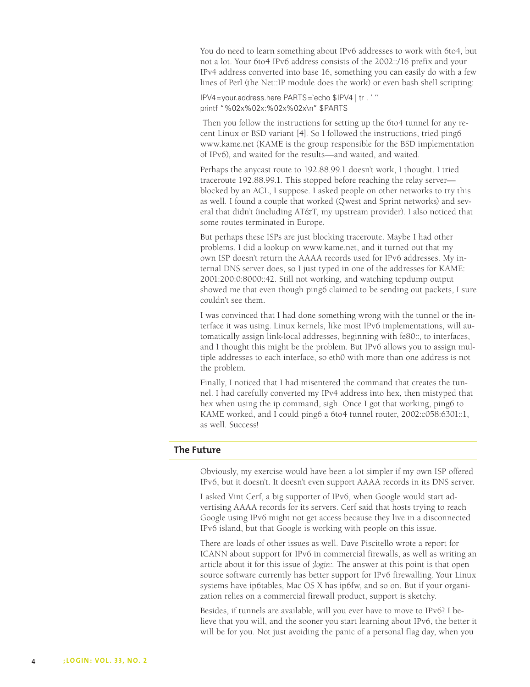You do need to learn something about IPv6 addresses to work with 6to4, but not a lot. Your 6to4 IPv6 address consists of the 2002::/16 prefix and your IPv4 address converted into base 16, something you can easily do with a few lines of Perl (the Net::IP module does the work) or even bash shell scripting:

IPV4=your.address.here PARTS=`echo \$IPV4 | tr . ' '' printf "%02x%02x:%02x%02x\n" \$PARTS

 Then you follow the instructions for setting up the 6to4 tunnel for any recent Linux or BSD variant [4]. So I followed the instructions, tried ping6 www.kame.net (KAME is the group responsible for the BSD implementation of IPv6), and waited for the results—and waited, and waited.

Perhaps the anycast route to 192.88.99.1 doesn't work, I thought. I tried traceroute 192.88.99.1. This stopped before reaching the relay server blocked by an ACL, I suppose. I asked people on other networks to try this as well. I found a couple that worked (Qwest and Sprint networks) and several that didn't (including AT&T, my upstream provider). I also noticed that some routes terminated in Europe.

But perhaps these ISPs are just blocking traceroute. Maybe I had other problems. I did a lookup on www.kame.net, and it turned out that my own ISP doesn't return the AAAA records used for IPv6 addresses. My internal DNS server does, so I just typed in one of the addresses for KAME: 2001:200:0:8000::42. Still not working, and watching tcpdump output showed me that even though ping6 claimed to be sending out packets, I sure couldn't see them.

I was convinced that I had done something wrong with the tunnel or the interface it was using. Linux kernels, like most IPv6 implementations, will automatically assign link-local addresses, beginning with fe80::, to interfaces, and I thought this might be the problem. But IPv6 allows you to assign multiple addresses to each interface, so eth0 with more than one address is not the problem.

Finally, I noticed that I had misentered the command that creates the tunnel. I had carefully converted my IPv4 address into hex, then mistyped that hex when using the ip command, sigh. Once I got that working, ping6 to KAME worked, and I could ping6 a 6to4 tunnel router, 2002:c058:6301::1, as well. Success!

# **The Future**

Obviously, my exercise would have been a lot simpler if my own ISP offered IPv6, but it doesn't. It doesn't even support AAAA records in its DNS server.

I asked Vint Cerf, a big supporter of IPv6, when Google would start advertising AAAA records for its servers. Cerf said that hosts trying to reach Google using IPv6 might not get access because they live in a disconnected IPv6 island, but that Google is working with people on this issue.

There are loads of other issues as well. Dave Piscitello wrote a report for ICANN about support for IPv6 in commercial firewalls, as well as writing an article about it for this issue of *;login:.* The answer at this point is that open source software currently has better support for IPv6 firewalling. Your Linux systems have ip6tables, Mac OS X has ip6fw, and so on. But if your organization relies on a commercial firewall product, support is sketchy.

Besides, if tunnels are available, will you ever have to move to IPv6? I believe that you will, and the sooner you start learning about IPv6, the better it will be for you. Not just avoiding the panic of a personal flag day, when you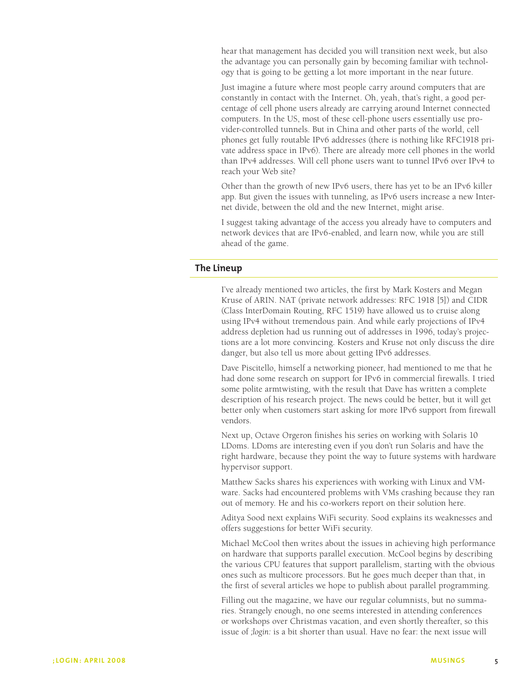hear that management has decided you will transition next week, but also the advantage you can personally gain by becoming familiar with technology that is going to be getting a lot more important in the near future.

Just imagine a future where most people carry around computers that are constantly in contact with the Internet. Oh, yeah, that's right, a good percentage of cell phone users already are carrying around Internet connected computers. In the US, most of these cell-phone users essentially use provider-controlled tunnels. But in China and other parts of the world, cell phones get fully routable IPv6 addresses (there is nothing like RFC1918 private address space in IPv6). There are already more cell phones in the world than IPv4 addresses. Will cell phone users want to tunnel IPv6 over IPv4 to reach your Web site?

Other than the growth of new IPv6 users, there has yet to be an IPv6 killer app. But given the issues with tunneling, as IPv6 users increase a new Internet divide, between the old and the new Internet, might arise.

I suggest taking advantage of the access you already have to computers and network devices that are IPv6-enabled, and learn now, while you are still ahead of the game.

## **The Lineup**

I've already mentioned two articles, the first by Mark Kosters and Megan Kruse of ARIN. NAT (private network addresses: RFC 1918 [5]) and CIDR (Class InterDomain Routing, RFC 1519) have allowed us to cruise along using IPv4 without tremendous pain. And while early projections of IPv4 address depletion had us running out of addresses in 1996, today's projections are a lot more convincing. Kosters and Kruse not only discuss the dire danger, but also tell us more about getting IPv6 addresses.

Dave Piscitello, himself a networking pioneer, had mentioned to me that he had done some research on support for IPv6 in commercial firewalls. I tried some polite armtwisting, with the result that Dave has written a complete description of his research project. The news could be better, but it will get better only when customers start asking for more IPv6 support from firewall vendors.

Next up, Octave Orgeron finishes his series on working with Solaris 10 LDoms. LDoms are interesting even if you don't run Solaris and have the right hardware, because they point the way to future systems with hardware hypervisor support.

Matthew Sacks shares his experiences with working with Linux and VMware. Sacks had encountered problems with VMs crashing because they ran out of memory. He and his co-workers report on their solution here.

Aditya Sood next explains WiFi security. Sood explains its weaknesses and offers suggestions for better WiFi security.

Michael McCool then writes about the issues in achieving high performance on hardware that supports parallel execution. McCool begins by describing the various CPU features that support parallelism, starting with the obvious ones such as multicore processors. But he goes much deeper than that, in the first of several articles we hope to publish about parallel programming.

Filling out the magazine, we have our regular columnists, but no summaries. Strangely enough, no one seems interested in attending conferences or workshops over Christmas vacation, and even shortly thereafter, so this issue of *;login:* is a bit shorter than usual. Have no fear: the next issue will